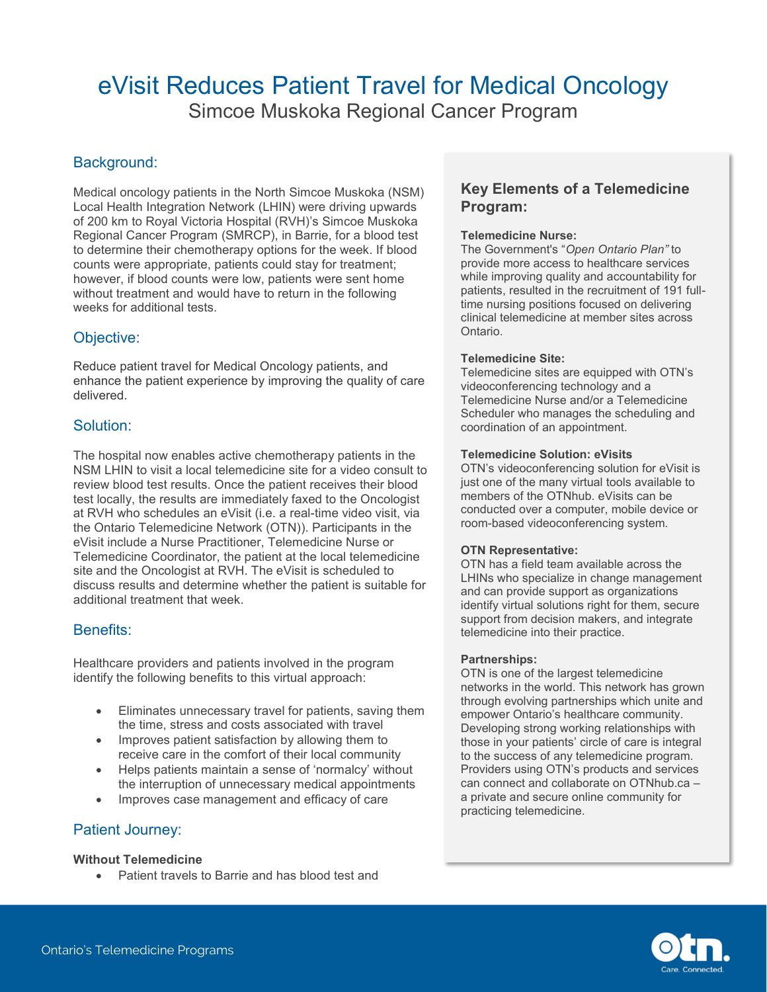# eVisit Reduces Patient Travel for Medical Oncology

Simcoe Muskoka Regional Cancer Program

# Background:

Medical oncology patients in the North Simcoe Muskoka (NSM) Local Health Integration Network (LHIN) were driving upwards of 200 km to Royal Victoria Hospital (RVH)'s Simcoe Muskoka Regional Cancer Program (SMRCP), in Barrie, for a blood test to determine their chemotherapy options for the week. If blood counts were appropriate, patients could stay for treatment; however, if blood counts were low, patients were sent home without treatment and would have to return in the following weeks for additional tests.

# Objective:

Reduce patient travel for Medical Oncology patients, and enhance the patient experience by improving the quality of care delivered.

# Solution:

The hospital now enables active chemotherapy patients in the NSM LHIN to visit a local telemedicine site for a video consult to review blood test results. Once the patient receives their blood test locally, the results are immediately faxed to the Oncologist at RVH who schedules an eVisit (i.e. a real-time video visit, via the Ontario Telemedicine Network (OTN)). Participants in the eVisit include a Nurse Practitioner, Telemedicine Nurse or Telemedicine Coordinator, the patient at the local telemedicine site and the Oncologist at RVH. The eVisit is scheduled to discuss results and determine whether the patient is suitable for additional treatment that week.

# Benefits:

Healthcare providers and patients involved in the program identify the following benefits to this virtual approach:

- Eliminates unnecessary travel for patients, saving them the time, stress and costs associated with travel
- Improves patient satisfaction by allowing them to receive care in the comfort of their local community
- Helps patients maintain a sense of 'normalcy' without the interruption of unnecessary medical appointments
- Improves case management and efficacy of care

# Patient Journey:

#### **Without Telemedicine**

• Patient travels to Barrie and has blood test and

### **Key Elements of a Telemedicine Program:**

#### **Telemedicine Nurse:**

The Government's "*Open Ontario Plan"* to provide more access to healthcare services while improving quality and accountability for patients, resulted in the recruitment of 191 fulltime nursing positions focused on delivering clinical telemedicine at member sites across Ontario.

#### **Telemedicine Site:**

Telemedicine sites are equipped with OTN's videoconferencing technology and a Telemedicine Nurse and/or a Telemedicine Scheduler who manages the scheduling and coordination of an appointment.

#### **Telemedicine Solution: eVisits**

OTN's videoconferencing solution for eVisit is just one of the many virtual tools available to members of the OTNhub. eVisits can be conducted over a computer, mobile device or room-based videoconferencing system.

#### **OTN Representative:**

OTN has a field team available across the LHINs who specialize in change management and can provide support as organizations identify virtual solutions right for them, secure support from decision makers, and integrate telemedicine into their practice.

#### **Partnerships:**

OTN is one of the largest telemedicine networks in the world. This network has grown through evolving partnerships which unite and empower Ontario's healthcare community. Developing strong working relationships with those in your patients' circle of care is integral to the success of any telemedicine program. Providers using OTN's products and services can connect and collaborate on OTNhub.ca – a private and secure online community for practicing telemedicine.

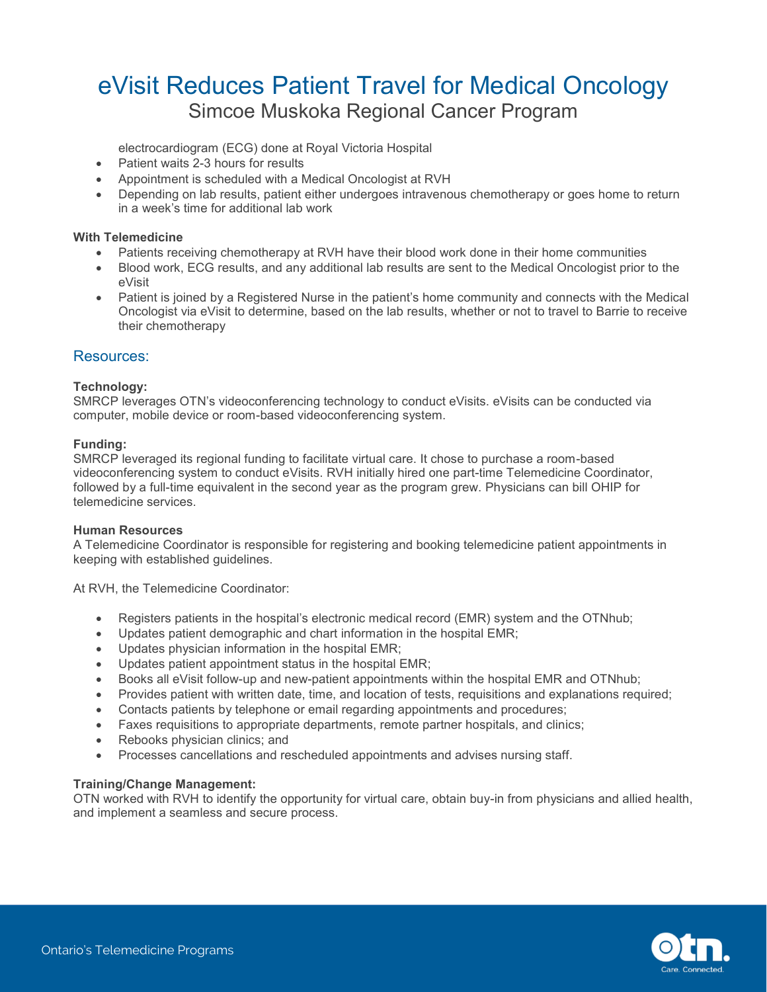# eVisit Reduces Patient Travel for Medical Oncology Simcoe Muskoka Regional Cancer Program

electrocardiogram (ECG) done at Royal Victoria Hospital

- Patient waits 2-3 hours for results
- Appointment is scheduled with a Medical Oncologist at RVH
- Depending on lab results, patient either undergoes intravenous chemotherapy or goes home to return in a week's time for additional lab work

#### **With Telemedicine**

- Patients receiving chemotherapy at RVH have their blood work done in their home communities
- Blood work, ECG results, and any additional lab results are sent to the Medical Oncologist prior to the eVisit
- Patient is joined by a Registered Nurse in the patient's home community and connects with the Medical Oncologist via eVisit to determine, based on the lab results, whether or not to travel to Barrie to receive their chemotherapy

#### Resources:

#### **Technology:**

SMRCP leverages OTN's videoconferencing technology to conduct eVisits. eVisits can be conducted via computer, mobile device or room-based videoconferencing system.

#### **Funding:**

SMRCP leveraged its regional funding to facilitate virtual care. It chose to purchase a room-based videoconferencing system to conduct eVisits. RVH initially hired one part-time Telemedicine Coordinator, followed by a full-time equivalent in the second year as the program grew. Physicians can bill OHIP for telemedicine services.

#### **Human Resources**

A Telemedicine Coordinator is responsible for registering and booking telemedicine patient appointments in keeping with established guidelines.

At RVH, the Telemedicine Coordinator:

- Registers patients in the hospital's electronic medical record (EMR) system and the OTNhub;
- Updates patient demographic and chart information in the hospital EMR;
- Updates physician information in the hospital EMR;
- Updates patient appointment status in the hospital EMR;
- Books all eVisit follow-up and new-patient appointments within the hospital EMR and OTNhub;
- Provides patient with written date, time, and location of tests, requisitions and explanations required;
- Contacts patients by telephone or email regarding appointments and procedures;
- Faxes requisitions to appropriate departments, remote partner hospitals, and clinics;
- Rebooks physician clinics; and
- Processes cancellations and rescheduled appointments and advises nursing staff.

#### **Training/Change Management:**

OTN worked with RVH to identify the opportunity for virtual care, obtain buy-in from physicians and allied health, and implement a seamless and secure process.

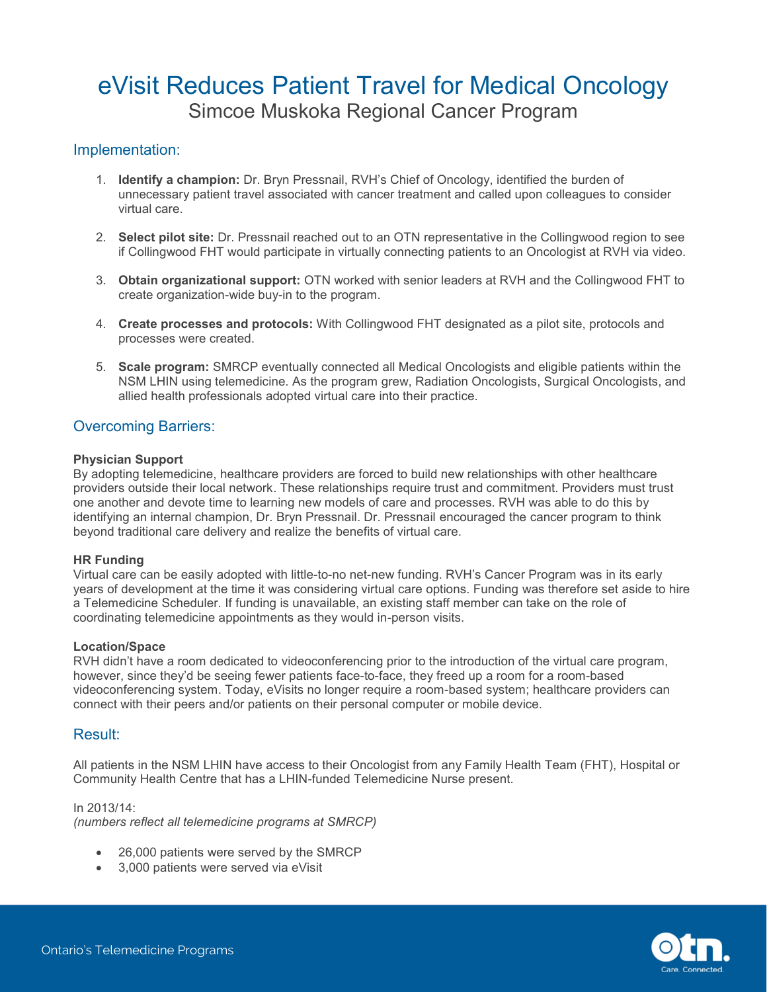# eVisit Reduces Patient Travel for Medical Oncology Simcoe Muskoka Regional Cancer Program

### Implementation:

- 1. **Identify a champion:** Dr. Bryn Pressnail, RVH's Chief of Oncology, identified the burden of unnecessary patient travel associated with cancer treatment and called upon colleagues to consider virtual care.
- 2. **Select pilot site:** Dr. Pressnail reached out to an OTN representative in the Collingwood region to see if Collingwood FHT would participate in virtually connecting patients to an Oncologist at RVH via video.
- 3. **Obtain organizational support:** OTN worked with senior leaders at RVH and the Collingwood FHT to create organization-wide buy-in to the program.
- 4. **Create processes and protocols:** With Collingwood FHT designated as a pilot site, protocols and processes were created.
- 5. **Scale program:** SMRCP eventually connected all Medical Oncologists and eligible patients within the NSM LHIN using telemedicine. As the program grew, Radiation Oncologists, Surgical Oncologists, and allied health professionals adopted virtual care into their practice.

### Overcoming Barriers:

#### **Physician Support**

By adopting telemedicine, healthcare providers are forced to build new relationships with other healthcare providers outside their local network. These relationships require trust and commitment. Providers must trust one another and devote time to learning new models of care and processes. RVH was able to do this by identifying an internal champion, Dr. Bryn Pressnail. Dr. Pressnail encouraged the cancer program to think beyond traditional care delivery and realize the benefits of virtual care.

#### **HR Funding**

Virtual care can be easily adopted with little-to-no net-new funding. RVH's Cancer Program was in its early years of development at the time it was considering virtual care options. Funding was therefore set aside to hire a Telemedicine Scheduler. If funding is unavailable, an existing staff member can take on the role of coordinating telemedicine appointments as they would in-person visits.

#### **Location/Space**

RVH didn't have a room dedicated to videoconferencing prior to the introduction of the virtual care program, however, since they'd be seeing fewer patients face-to-face, they freed up a room for a room-based videoconferencing system. Today, eVisits no longer require a room-based system; healthcare providers can connect with their peers and/or patients on their personal computer or mobile device.

#### Result:

All patients in the NSM LHIN have access to their Oncologist from any Family Health Team (FHT), Hospital or Community Health Centre that has a LHIN-funded Telemedicine Nurse present.

In 2013/14:

*(numbers reflect all telemedicine programs at SMRCP)* 

- 26,000 patients were served by the SMRCP
- 3,000 patients were served via eVisit